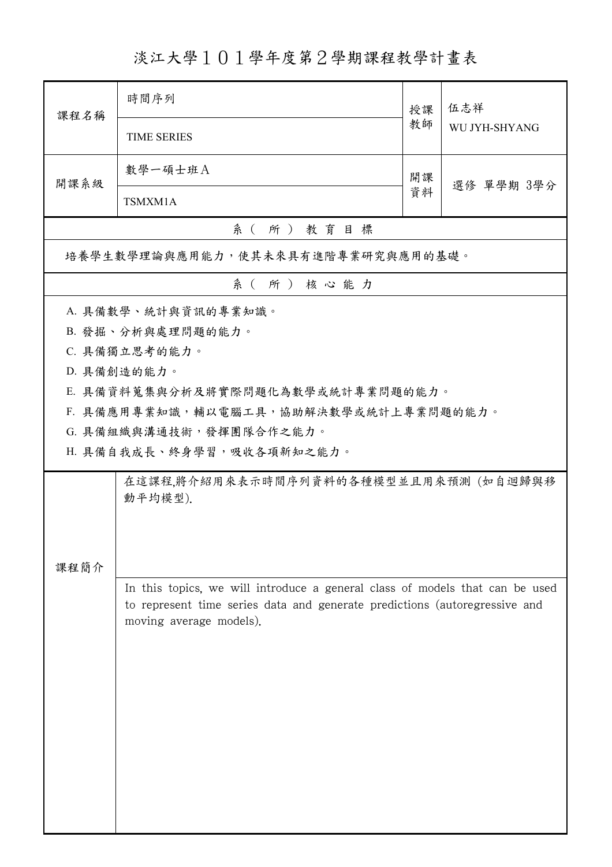## 淡江大學101學年度第2學期課程教學計畫表

| 課程名稱                                             | 時間序列                                                                         | 授課 | 伍志祥<br>WU JYH-SHYANG |  |  |  |  |
|--------------------------------------------------|------------------------------------------------------------------------------|----|----------------------|--|--|--|--|
|                                                  | <b>TIME SERIES</b>                                                           | 教師 |                      |  |  |  |  |
| 開課系級                                             | 數學一碩士班A                                                                      | 開課 | 選修 單學期 3學分           |  |  |  |  |
|                                                  | TSMXM1A                                                                      | 資料 |                      |  |  |  |  |
| 系(所)教育目標                                         |                                                                              |    |                      |  |  |  |  |
| 培養學生數學理論與應用能力,使其未來具有進階專業研究與應用的基礎。                |                                                                              |    |                      |  |  |  |  |
| 系(所)核心能力                                         |                                                                              |    |                      |  |  |  |  |
|                                                  | A. 具備數學、統計與資訊的專業知識。                                                          |    |                      |  |  |  |  |
|                                                  | B. 發掘、分析與處理問題的能力。                                                            |    |                      |  |  |  |  |
|                                                  | C. 具備獨立思考的能力。                                                                |    |                      |  |  |  |  |
|                                                  | D. 具備創造的能力。                                                                  |    |                      |  |  |  |  |
|                                                  | E. 具備資料蒐集與分析及將實際問題化為數學或統計專業問題的能力。                                            |    |                      |  |  |  |  |
|                                                  | F. 具備應用專業知識,輔以電腦工具,協助解決數學或統計上專業問題的能力。                                        |    |                      |  |  |  |  |
|                                                  | G. 具備組織與溝通技術,發揮團隊合作之能力。                                                      |    |                      |  |  |  |  |
|                                                  | H. 具備自我成長、終身學習,吸收各項新知之能力。                                                    |    |                      |  |  |  |  |
| 在這課程,將介紹用來表示時間序列資料的各種模型並且用來預測 (如自迴歸與移<br>動平均模型). |                                                                              |    |                      |  |  |  |  |
|                                                  |                                                                              |    |                      |  |  |  |  |
|                                                  |                                                                              |    |                      |  |  |  |  |
| 課程簡介                                             |                                                                              |    |                      |  |  |  |  |
|                                                  | In this topics, we will introduce a general class of models that can be used |    |                      |  |  |  |  |
|                                                  | to represent time series data and generate predictions (autoregressive and   |    |                      |  |  |  |  |
|                                                  | moving average models).                                                      |    |                      |  |  |  |  |
|                                                  |                                                                              |    |                      |  |  |  |  |
|                                                  |                                                                              |    |                      |  |  |  |  |
|                                                  |                                                                              |    |                      |  |  |  |  |
|                                                  |                                                                              |    |                      |  |  |  |  |
|                                                  |                                                                              |    |                      |  |  |  |  |
|                                                  |                                                                              |    |                      |  |  |  |  |
|                                                  |                                                                              |    |                      |  |  |  |  |
|                                                  |                                                                              |    |                      |  |  |  |  |
|                                                  |                                                                              |    |                      |  |  |  |  |
|                                                  |                                                                              |    |                      |  |  |  |  |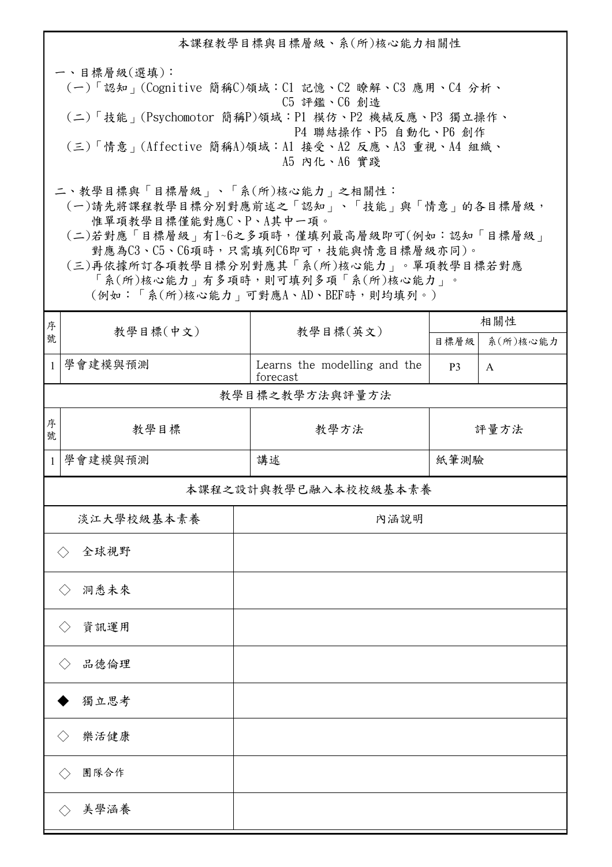本課程教學目標與目標層級、系(所)核心能力相關性 一、目標層級(選填): (一)「認知」(Cognitive 簡稱C)領域:C1 記憶、C2 瞭解、C3 應用、C4 分析、 C5 評鑑、C6 創造 (二)「技能」(Psychomotor 簡稱P)領域:P1 模仿、P2 機械反應、P3 獨立操作、 P4 聯結操作、P5 自動化、P6 創作 (三)「情意」(Affective 簡稱A)領域:A1 接受、A2 反應、A3 重視、A4 組織、 A5 內化、A6 實踐 二、教學目標與「目標層級」、「系(所)核心能力」之相關性: (一)請先將課程教學目標分別對應前述之「認知」、「技能」與「情意」的各目標層級, 惟單項教學目標僅能對應C、P、A其中一項。 (二)若對應「目標層級」有1~6之多項時,僅填列最高層級即可(例如:認知「目標層級」 對應為C3、C5、C6項時,只需填列C6即可,技能與情意目標層級亦同)。 (三)再依據所訂各項教學目標分別對應其「系(所)核心能力」。單項教學目標若對應

「系(所)核心能力」有多項時,則可填列多項「系(所)核心能力」。 (例如:「系(所)核心能力」可對應A、AD、BEF時,則均填列。)

| 序            | 教學目標(中文)                    | 教學目標(英文)                                 | 相關性            |              |  |  |  |  |
|--------------|-----------------------------|------------------------------------------|----------------|--------------|--|--|--|--|
| 號            |                             |                                          | 目標層級           | 系(所)核心能力     |  |  |  |  |
| $\mathbf{1}$ | 學會建模與預測                     | Learns the modelling and the<br>forecast | P <sub>3</sub> | $\mathbf{A}$ |  |  |  |  |
|              | 教學目標之教學方法與評量方法              |                                          |                |              |  |  |  |  |
| 序<br>號       | 教學目標                        | 教學方法                                     | 評量方法           |              |  |  |  |  |
| $\mathbf{1}$ | 學會建模與預測                     | 講述                                       | 紙筆測驗           |              |  |  |  |  |
|              | 本課程之設計與教學已融入本校校級基本素養        |                                          |                |              |  |  |  |  |
|              | 淡江大學校級基本素養                  | 內涵說明                                     |                |              |  |  |  |  |
|              | 全球視野<br>$\langle \ \rangle$ |                                          |                |              |  |  |  |  |
|              | 洞悉未來<br>$\langle \ \rangle$ |                                          |                |              |  |  |  |  |
|              | 資訊運用                        |                                          |                |              |  |  |  |  |
|              | 品德倫理<br>$\langle \ \rangle$ |                                          |                |              |  |  |  |  |
|              | 獨立思考                        |                                          |                |              |  |  |  |  |
|              | 樂活健康                        |                                          |                |              |  |  |  |  |
|              | 團隊合作<br>$\langle \ \rangle$ |                                          |                |              |  |  |  |  |
|              | 美學涵養                        |                                          |                |              |  |  |  |  |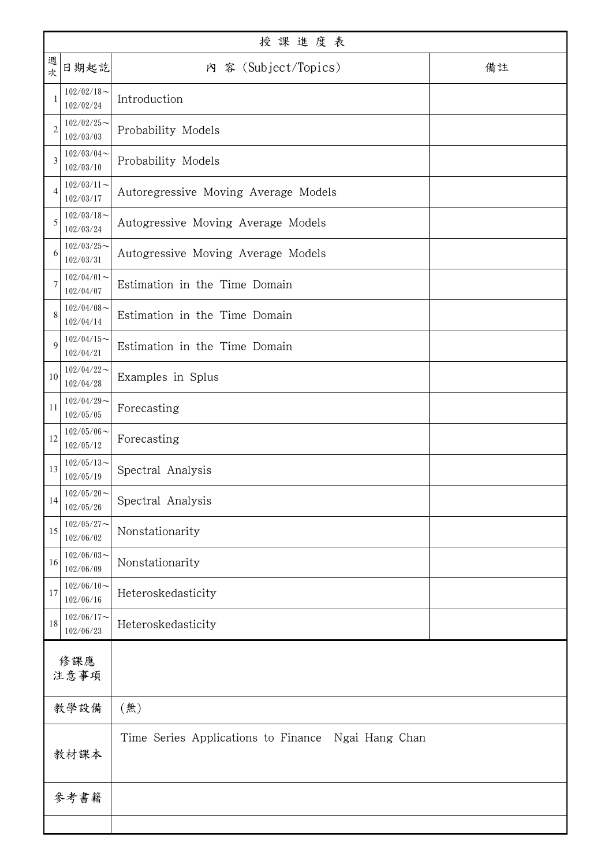| 週<br>次         | 日期起訖                       | 內 容 (Subject/Topics)                               | 備註 |  |
|----------------|----------------------------|----------------------------------------------------|----|--|
| 1              | $102/02/18$ ~<br>102/02/24 | Introduction                                       |    |  |
| $\overline{2}$ | $102/02/25$ ~<br>102/03/03 | Probability Models                                 |    |  |
| 3              | $102/03/04$ ~<br>102/03/10 | Probability Models                                 |    |  |
| $\overline{4}$ | $102/03/11$ ~<br>102/03/17 | Autoregressive Moving Average Models               |    |  |
| 5              | $102/03/18$ ~<br>102/03/24 | Autogressive Moving Average Models                 |    |  |
| 6              | $102/03/25$ ~<br>102/03/31 | Autogressive Moving Average Models                 |    |  |
| $\overline{7}$ | $102/04/01$ ~<br>102/04/07 | Estimation in the Time Domain                      |    |  |
| 8              | $102/04/08$ ~<br>102/04/14 | Estimation in the Time Domain                      |    |  |
| 9              | $102/04/15$ ~<br>102/04/21 | Estimation in the Time Domain                      |    |  |
| 10             | $102/04/22$ ~<br>102/04/28 | Examples in Splus                                  |    |  |
| 11             | $102/04/29$ ~<br>102/05/05 | Forecasting                                        |    |  |
| 12             | $102/05/06$ ~<br>102/05/12 | Forecasting                                        |    |  |
| 13             | $102/05/13$ ~<br>102/05/19 | Spectral Analysis                                  |    |  |
| 14             | $102/05/20$ ~<br>102/05/26 | Spectral Analysis                                  |    |  |
| 15             | $102/05/27$ ~<br>102/06/02 | Nonstationarity                                    |    |  |
| 16             | $102/06/03$ ~<br>102/06/09 | Nonstationarity                                    |    |  |
| 17             | $102/06/10$ ~<br>102/06/16 | Heteroskedasticity                                 |    |  |
| $18\,$         | $102/06/17$ ~<br>102/06/23 | Heteroskedasticity                                 |    |  |
| 修課應<br>注意事項    |                            |                                                    |    |  |
| 教學設備           |                            | (無)                                                |    |  |
| 教材課本           |                            | Time Series Applications to Finance Ngai Hang Chan |    |  |
| 參考書籍           |                            |                                                    |    |  |